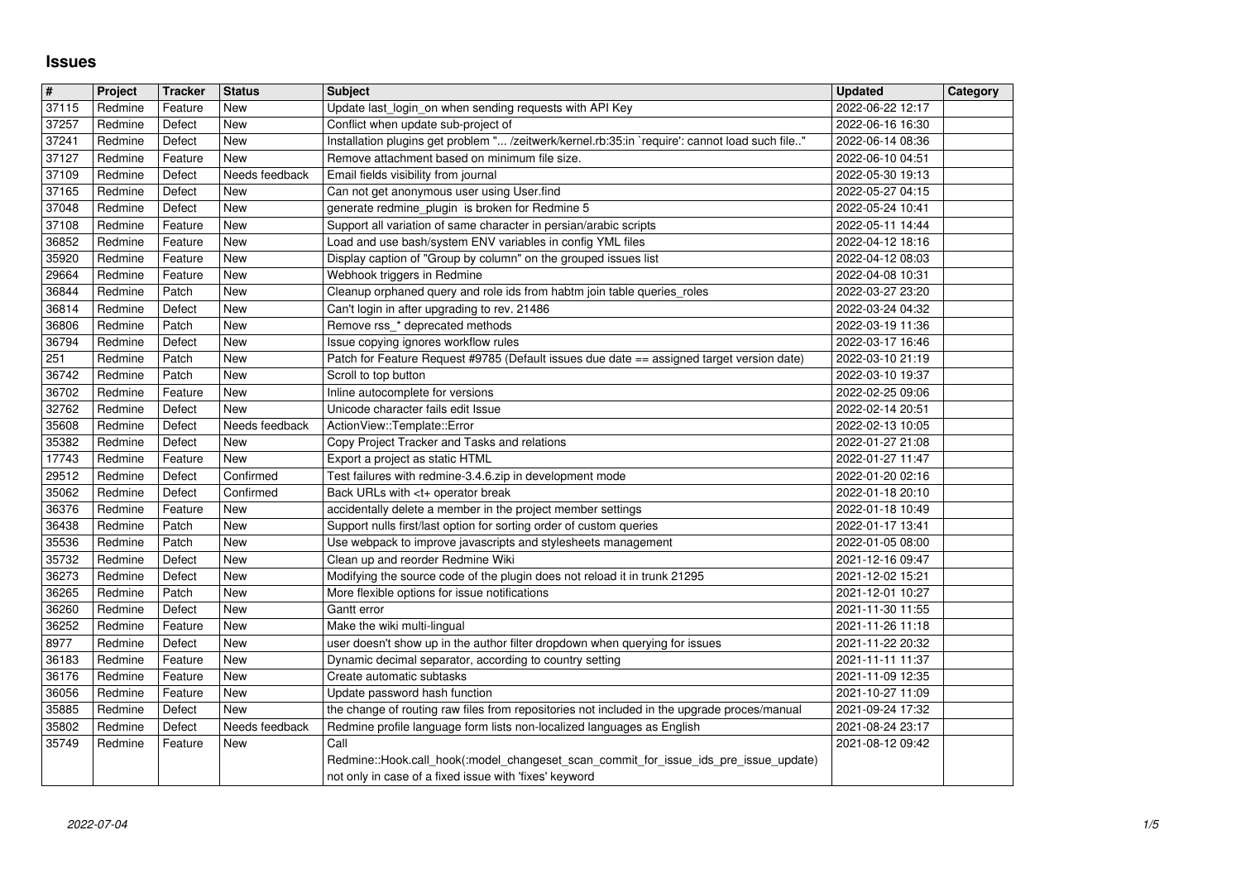## **Issues**

| $\overline{\mathbf{H}}$ | Project            | <b>Tracker</b>    | <b>Status</b>            | <b>Subject</b>                                                                                                                                                        | <b>Updated</b>                       | Category |
|-------------------------|--------------------|-------------------|--------------------------|-----------------------------------------------------------------------------------------------------------------------------------------------------------------------|--------------------------------------|----------|
| 37115                   | Redmine            | Feature           | New                      | Update last login on when sending requests with API Key                                                                                                               | 2022-06-22 12:17                     |          |
| 37257<br>37241          | Redmine<br>Redmine | Defect<br>Defect  | <b>New</b><br><b>New</b> | Conflict when update sub-project of<br>Installation plugins get problem " /zeitwerk/kernel.rb:35:in `require': cannot load such file"                                 | 2022-06-16 16:30<br>2022-06-14 08:36 |          |
| 37127                   | Redmine            | Feature           | New                      | Remove attachment based on minimum file size.                                                                                                                         | 2022-06-10 04:51                     |          |
| 37109                   | Redmine            | Defect            | Needs feedback           | Email fields visibility from journal                                                                                                                                  | 2022-05-30 19:13                     |          |
| 37165                   | Redmine            | Defect            | New                      | Can not get anonymous user using User.find                                                                                                                            | 2022-05-27 04:15                     |          |
| 37048<br>37108          | Redmine<br>Redmine | Defect<br>Feature | <b>New</b><br>New        | generate redmine_plugin is broken for Redmine 5<br>Support all variation of same character in persian/arabic scripts                                                  | 2022-05-24 10:41<br>2022-05-11 14:44 |          |
| 36852                   | Redmine            | Feature           | New                      | Load and use bash/system ENV variables in config YML files                                                                                                            | 2022-04-12 18:16                     |          |
| 35920                   | Redmine            | Feature           | New                      | Display caption of "Group by column" on the grouped issues list                                                                                                       | 2022-04-12 08:03                     |          |
| 29664<br>36844          | Redmine<br>Redmine | Feature<br>Patch  | New<br><b>New</b>        | Webhook triggers in Redmine<br>Cleanup orphaned query and role ids from habtm join table queries_roles                                                                | 2022-04-08 10:31<br>2022-03-27 23:20 |          |
| 36814                   | Redmine            | Defect            | New                      | Can't login in after upgrading to rev. 21486                                                                                                                          | 2022-03-24 04:32                     |          |
| 36806                   | Redmine            | Patch             | New                      | Remove rss_* deprecated methods                                                                                                                                       | 2022-03-19 11:36                     |          |
| 36794<br>251            | Redmine<br>Redmine | Defect<br>Patch   | New<br>New               | Issue copying ignores workflow rules<br>Patch for Feature Request #9785 (Default issues due date == assigned target version date)                                     | 2022-03-17 16:46<br>2022-03-10 21:19 |          |
| 36742                   | Redmine            | Patch             | New                      | Scroll to top button                                                                                                                                                  | 2022-03-10 19:37                     |          |
| 36702                   | Redmine            | Feature           | New                      | Inline autocomplete for versions                                                                                                                                      | 2022-02-25 09:06                     |          |
| 32762<br>35608          | Redmine<br>Redmine | Defect<br>Defect  | New<br>Needs feedback    | Unicode character fails edit Issue<br>ActionView::Template::Error                                                                                                     | 2022-02-14 20:51<br>2022-02-13 10:05 |          |
| 35382                   | Redmine            | Defect            | <b>New</b>               | Copy Project Tracker and Tasks and relations                                                                                                                          | 2022-01-27 21:08                     |          |
| 17743<br>29512          | Redmine<br>Redmine | Feature<br>Defect | New<br>Confirmed         | Export a project as static HTML<br>Test failures with redmine-3.4.6.zip in development mode                                                                           | 2022-01-27 11:47<br>2022-01-20 02:16 |          |
| 35062                   | Redmine            | Defect            | Confirmed                | Back URLs with <t+ break<="" operator="" td=""><td>2022-01-18 20:10</td><td></td></t+>                                                                                | 2022-01-18 20:10                     |          |
| 36376                   | Redmine            | Feature           | New                      | accidentally delete a member in the project member settings                                                                                                           | 2022-01-18 10:49                     |          |
| 36438<br>35536          | Redmine<br>Redmine | Patch<br>Patch    | New<br><b>New</b>        | Support nulls first/last option for sorting order of custom queries<br>Use webpack to improve javascripts and stylesheets management                                  | 2022-01-17 13:41<br>2022-01-05 08:00 |          |
| 35732                   | Redmine            | Defect            | New                      | Clean up and reorder Redmine Wiki                                                                                                                                     | 2021-12-16 09:47                     |          |
| 36273<br>36265          | Redmine<br>Redmine | Defect<br>Patch   | <b>New</b><br><b>New</b> | Modifying the source code of the plugin does not reload it in trunk 21295<br>More flexible options for issue notifications                                            | 2021-12-02 15:21<br>2021-12-01 10:27 |          |
| 36260                   | Redmine            | Defect            | New                      | Gantt error                                                                                                                                                           | 2021-11-30 11:55                     |          |
| 36252                   | Redmine            | Feature           | <b>New</b>               | Make the wiki multi-lingual                                                                                                                                           | 2021-11-26 11:18                     |          |
| 8977<br>36183           | Redmine<br>Redmine | Defect<br>Feature | New<br>New               | user doesn't show up in the author filter dropdown when querying for issues<br>Dynamic decimal separator, according to country setting                                | 2021-11-22 20:32<br>2021-11-11 11:37 |          |
| 36176                   | Redmine            | Feature           | New                      | Create automatic subtasks                                                                                                                                             | 2021-11-09 12:35                     |          |
| 36056                   | Redmine            | Feature           | New                      | Update password hash function                                                                                                                                         | 2021-10-27 11:09                     |          |
| 35885<br>35802          | Redmine<br>Redmine | Defect<br>Defect  | New<br>Needs feedback    | the change of routing raw files from repositories not included in the upgrade proces/manual<br>Redmine profile language form lists non-localized languages as English | 2021-09-24 17:32<br>2021-08-24 23:17 |          |
| 35749                   | Redmine            | Feature           | $\vert$ New              | $ $ Call                                                                                                                                                              | 2021-08-12 09:42                     |          |
|                         |                    |                   |                          | Redmine::Hook.call_hook(:model_changeset_scan_commit_for_issue_ids_pre_issue_update)<br>not only in case of a fixed issue with 'fixes' keyword                        |                                      |          |
|                         |                    |                   |                          |                                                                                                                                                                       |                                      |          |
|                         |                    |                   |                          |                                                                                                                                                                       |                                      |          |
|                         |                    |                   |                          |                                                                                                                                                                       |                                      |          |
|                         |                    |                   |                          |                                                                                                                                                                       |                                      |          |
|                         |                    |                   |                          |                                                                                                                                                                       |                                      |          |
|                         |                    |                   |                          |                                                                                                                                                                       |                                      |          |
|                         |                    |                   |                          |                                                                                                                                                                       |                                      |          |
|                         |                    |                   |                          |                                                                                                                                                                       |                                      |          |
|                         |                    |                   |                          |                                                                                                                                                                       |                                      |          |
|                         |                    |                   |                          |                                                                                                                                                                       |                                      |          |
|                         |                    |                   |                          |                                                                                                                                                                       |                                      |          |
|                         |                    |                   |                          |                                                                                                                                                                       |                                      |          |
|                         |                    |                   |                          |                                                                                                                                                                       |                                      |          |
|                         |                    |                   |                          |                                                                                                                                                                       |                                      |          |
|                         |                    |                   |                          |                                                                                                                                                                       |                                      |          |
|                         |                    |                   |                          |                                                                                                                                                                       |                                      |          |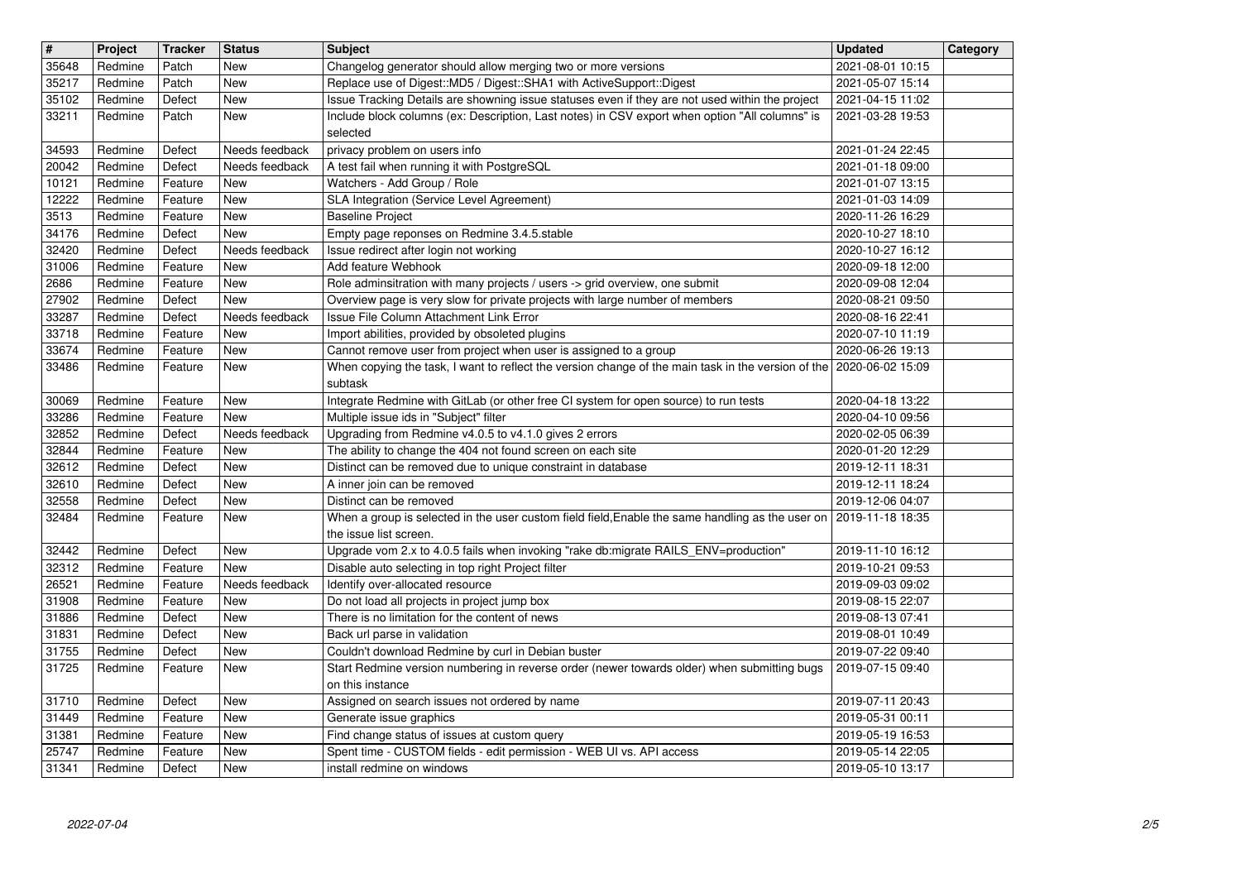| $\overline{\mathbf{H}}$ | Project            | <b>Tracker</b>     | <b>Status</b>            | <b>Subject</b>                                                                                                                                                             | <b>Updated</b>                       | Category |
|-------------------------|--------------------|--------------------|--------------------------|----------------------------------------------------------------------------------------------------------------------------------------------------------------------------|--------------------------------------|----------|
| 35648                   | Redmine            | Patch              | <b>New</b>               | Changelog generator should allow merging two or more versions                                                                                                              | 2021-08-01 10:15                     |          |
| 35217<br>35102          | Redmine<br>Redmine | Patch<br>Defect    | <b>New</b><br><b>New</b> | Replace use of Digest:: MD5 / Digest:: SHA1 with ActiveSupport:: Digest<br>Issue Tracking Details are showning issue statuses even if they are not used within the project | 2021-05-07 15:14<br>2021-04-15 11:02 |          |
| 33211                   | Redmine            | Patch              | New                      | Include block columns (ex: Description, Last notes) in CSV export when option "All columns" is                                                                             | 2021-03-28 19:53                     |          |
|                         |                    |                    |                          | selected                                                                                                                                                                   |                                      |          |
| 34593                   | Redmine            | Defect             | Needs feedback           | privacy problem on users info                                                                                                                                              | 2021-01-24 22:45                     |          |
| 20042<br>10121          | Redmine<br>Redmine | Defect<br>Feature  | Needs feedback<br>New    | A test fail when running it with PostgreSQL<br>Watchers - Add Group / Role                                                                                                 | 2021-01-18 09:00<br>2021-01-07 13:15 |          |
| 12222                   | Redmine            | Feature            | New                      | SLA Integration (Service Level Agreement)                                                                                                                                  | 2021-01-03 14:09                     |          |
| 3513                    | Redmine            | Feature            | New                      | <b>Baseline Project</b>                                                                                                                                                    | 2020-11-26 16:29                     |          |
| 34176                   | Redmine            | Defect             | New                      | Empty page reponses on Redmine 3.4.5.stable                                                                                                                                | 2020-10-27 18:10                     |          |
| 32420<br>31006          | Redmine<br>Redmine | Defect<br>Feature  | Needs feedback<br>New    | Issue redirect after login not working<br>Add feature Webhook                                                                                                              | 2020-10-27 16:12<br>2020-09-18 12:00 |          |
| 2686                    | Redmine            | Feature            | New                      | Role adminsitration with many projects / users -> grid overview, one submit                                                                                                | 2020-09-08 12:04                     |          |
| 27902                   | Redmine            | Defect             | New                      | Overview page is very slow for private projects with large number of members                                                                                               | 2020-08-21 09:50                     |          |
| 33287                   | Redmine            | Defect             | Needs feedback           | Issue File Column Attachment Link Error                                                                                                                                    | 2020-08-16 22:41<br>2020-07-10 11:19 |          |
| 33718<br>33674          | Redmine<br>Redmine | Feature<br>Feature | New<br>New               | Import abilities, provided by obsoleted plugins<br>Cannot remove user from project when user is assigned to a group                                                        | 2020-06-26 19:13                     |          |
| 33486                   | Redmine            | Feature            | New                      | When copying the task, I want to reflect the version change of the main task in the version of the 2020-06-02 15:09                                                        |                                      |          |
|                         |                    |                    |                          | subtask                                                                                                                                                                    |                                      |          |
| 30069<br>33286          | Redmine<br>Redmine | Feature<br>Feature | New<br>New               | Integrate Redmine with GitLab (or other free CI system for open source) to run tests<br>Multiple issue ids in "Subject" filter                                             | 2020-04-18 13:22<br>2020-04-10 09:56 |          |
| 32852                   | Redmine            | Defect             | Needs feedback           | Upgrading from Redmine v4.0.5 to v4.1.0 gives 2 errors                                                                                                                     | 2020-02-05 06:39                     |          |
| 32844                   | Redmine            | Feature            | New                      | The ability to change the 404 not found screen on each site                                                                                                                | 2020-01-20 12:29                     |          |
| 32612                   | Redmine            | Defect             | New                      | Distinct can be removed due to unique constraint in database                                                                                                               | 2019-12-11 18:31                     |          |
| 32610<br>32558          | Redmine<br>Redmine | Defect<br>Defect   | New<br>New               | A inner join can be removed<br>Distinct can be removed                                                                                                                     | 2019-12-11 18:24<br>2019-12-06 04:07 |          |
| 32484                   | Redmine            | Feature            | New                      | When a group is selected in the user custom field field, Enable the same handling as the user on                                                                           | 2019-11-18 18:35                     |          |
|                         |                    |                    |                          | the issue list screen.                                                                                                                                                     |                                      |          |
| 32442                   | Redmine            | Defect             | <b>New</b>               | Upgrade vom 2.x to 4.0.5 fails when invoking "rake db:migrate RAILS_ENV=production"                                                                                        | 2019-11-10 16:12                     |          |
| 32312<br>26521          | Redmine<br>Redmine | Feature<br>Feature | New<br>Needs feedback    | Disable auto selecting in top right Project filter<br>Identify over-allocated resource                                                                                     | 2019-10-21 09:53<br>2019-09-03 09:02 |          |
| 31908                   | Redmine            | Feature            | New                      | Do not load all projects in project jump box                                                                                                                               | 2019-08-15 22:07                     |          |
| 31886                   | Redmine            | Defect             | New                      | There is no limitation for the content of news                                                                                                                             | 2019-08-13 07:41                     |          |
| 31831                   | Redmine            | Defect             | New                      | Back url parse in validation                                                                                                                                               | 2019-08-01 10:49                     |          |
| 31755<br>31725          | Redmine<br>Redmine | Defect<br>Feature  | New<br>New               | Couldn't download Redmine by curl in Debian buster<br>Start Redmine version numbering in reverse order (newer towards older) when submitting bugs                          | 2019-07-22 09:40<br>2019-07-15 09:40 |          |
|                         |                    |                    |                          | on this instance                                                                                                                                                           |                                      |          |
|                         | 31710 Redmine      | Defect             | New                      | Assigned on search issues not ordered by name                                                                                                                              | 2019-07-11 20:43                     |          |
| 31449<br>31381          | Redmine            | Feature<br>Feature | New<br>New               | Generate issue graphics<br>Find change status of issues at custom query                                                                                                    | 2019-05-31 00:11                     |          |
| 25747                   | Redmine<br>Redmine | Feature            | New                      | Spent time - CUSTOM fields - edit permission - WEB UI vs. API access                                                                                                       | 2019-05-19 16:53<br>2019-05-14 22:05 |          |
| 31341                   | Redmine            | Defect             | New                      | install redmine on windows                                                                                                                                                 | 2019-05-10 13:17                     |          |
|                         |                    |                    |                          |                                                                                                                                                                            |                                      |          |
|                         |                    |                    |                          |                                                                                                                                                                            |                                      |          |
|                         |                    |                    |                          |                                                                                                                                                                            |                                      |          |
|                         |                    |                    |                          |                                                                                                                                                                            |                                      |          |
|                         |                    |                    |                          |                                                                                                                                                                            |                                      |          |
|                         |                    |                    |                          |                                                                                                                                                                            |                                      |          |
|                         |                    |                    |                          |                                                                                                                                                                            |                                      |          |
|                         |                    |                    |                          |                                                                                                                                                                            |                                      |          |
|                         |                    |                    |                          |                                                                                                                                                                            |                                      |          |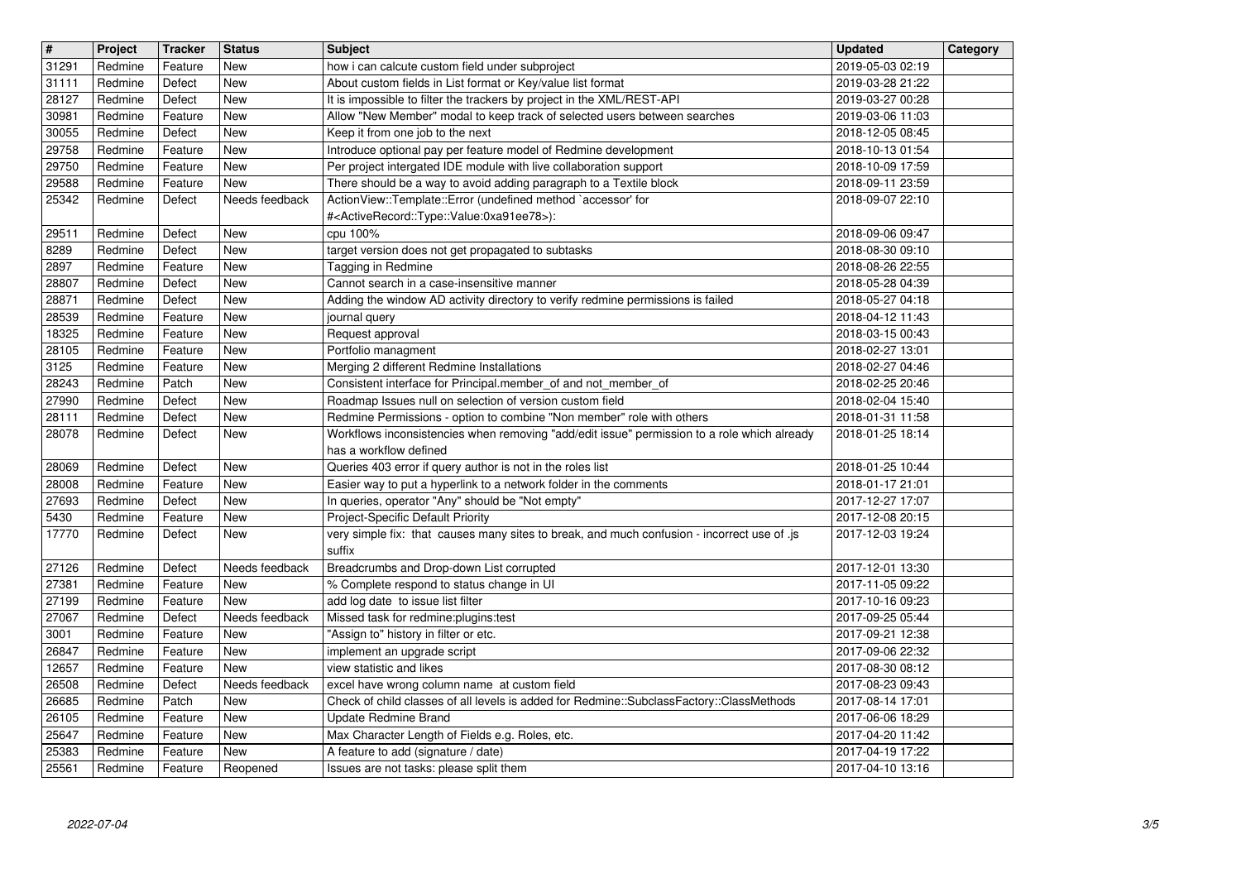| $\overline{\mathbf{H}}$ | Project            | <b>Tracker</b>     | <b>Status</b>         | <b>Subject</b>                                                                                                                           | <b>Updated</b>                       | Category |
|-------------------------|--------------------|--------------------|-----------------------|------------------------------------------------------------------------------------------------------------------------------------------|--------------------------------------|----------|
| 31291<br>31111          | Redmine<br>Redmine | Feature<br>Defect  | New<br>New            | how i can calcute custom field under subproject<br>About custom fields in List format or Key/value list format                           | 2019-05-03 02:19<br>2019-03-28 21:22 |          |
| 28127                   | Redmine            | Defect             | New                   | It is impossible to filter the trackers by project in the XML/REST-API                                                                   | 2019-03-27 00:28                     |          |
| 30981<br>30055          | Redmine<br>Redmine | Feature<br>Defect  | New<br>New            | Allow "New Member" modal to keep track of selected users between searches<br>Keep it from one job to the next                            | 2019-03-06 11:03<br>2018-12-05 08:45 |          |
| 29758                   | Redmine            | Feature            | <b>New</b>            | Introduce optional pay per feature model of Redmine development                                                                          | 2018-10-13 01:54                     |          |
| 29750                   | Redmine            | Feature            | New                   | Per project intergated IDE module with live collaboration support                                                                        | 2018-10-09 17:59                     |          |
| 29588<br>25342          | Redmine<br>Redmine | Feature<br>Defect  | New<br>Needs feedback | There should be a way to avoid adding paragraph to a Textile block<br>ActionView::Template::Error (undefined method `accessor' for       | 2018-09-11 23:59<br>2018-09-07 22:10 |          |
|                         |                    |                    |                       | # <activerecord::type::value:0xa91ee78>):</activerecord::type::value:0xa91ee78>                                                          |                                      |          |
| 29511                   | Redmine            | Defect             | New                   | cpu 100%                                                                                                                                 | 2018-09-06 09:47                     |          |
| 8289<br>2897            | Redmine<br>Redmine | Defect<br>Feature  | New<br>New            | target version does not get propagated to subtasks<br>Tagging in Redmine                                                                 | 2018-08-30 09:10<br>2018-08-26 22:55 |          |
| 28807                   | Redmine            | Defect             | New                   | Cannot search in a case-insensitive manner                                                                                               | 2018-05-28 04:39                     |          |
| 28871<br>28539          | Redmine<br>Redmine | Defect<br>Feature  | New<br>New            | Adding the window AD activity directory to verify redmine permissions is failed                                                          | 2018-05-27 04:18<br>2018-04-12 11:43 |          |
| 18325                   | Redmine            | Feature            | <b>New</b>            | journal query<br>Request approval                                                                                                        | 2018-03-15 00:43                     |          |
| 28105                   | Redmine            | Feature            | <b>New</b>            | Portfolio managment                                                                                                                      | 2018-02-27 13:01                     |          |
| 3125<br>28243           | Redmine<br>Redmine | Feature<br>Patch   | New<br>New            | Merging 2 different Redmine Installations<br>Consistent interface for Principal.member_of and not_member_of                              | 2018-02-27 04:46<br>2018-02-25 20:46 |          |
| 27990                   | Redmine            | Defect             | New                   | Roadmap Issues null on selection of version custom field                                                                                 | 2018-02-04 15:40                     |          |
| 28111                   | Redmine            | Defect             | New                   | Redmine Permissions - option to combine "Non member" role with others                                                                    | 2018-01-31 11:58                     |          |
| 28078                   | Redmine            | Defect             | New                   | Workflows inconsistencies when removing "add/edit issue" permission to a role which already<br>has a workflow defined                    | 2018-01-25 18:14                     |          |
| 28069                   | Redmine            | Defect             | <b>New</b>            | Queries 403 error if query author is not in the roles list                                                                               | 2018-01-25 10:44                     |          |
| 28008                   | Redmine            | Feature            | <b>New</b>            | Easier way to put a hyperlink to a network folder in the comments                                                                        | 2018-01-17 21:01                     |          |
| 27693<br>5430           | Redmine<br>Redmine | Defect<br>Feature  | <b>New</b><br>New     | In queries, operator "Any" should be "Not empty"<br>Project-Specific Default Priority                                                    | 2017-12-27 17:07<br>2017-12-08 20:15 |          |
| 17770                   | Redmine            | Defect             | New                   | very simple fix: that causes many sites to break, and much confusion - incorrect use of .js                                              | 2017-12-03 19:24                     |          |
| 27126                   | Redmine            | Defect             | Needs feedback        | suffix<br>Breadcrumbs and Drop-down List corrupted                                                                                       | 2017-12-01 13:30                     |          |
| 27381                   | Redmine            | Feature            | New                   | % Complete respond to status change in UI                                                                                                | 2017-11-05 09:22                     |          |
| 27199                   | Redmine            | Feature            | New                   | add log date to issue list filter                                                                                                        | 2017-10-16 09:23                     |          |
| 27067<br>3001           | Redmine<br>Redmine | Defect<br>Feature  | Needs feedback<br>New | Missed task for redmine:plugins:test<br>"Assign to" history in filter or etc.                                                            | 2017-09-25 05:44<br>2017-09-21 12:38 |          |
| 26847                   | Redmine            | Feature            | New                   | implement an upgrade script                                                                                                              | 2017-09-06 22:32                     |          |
| 12657                   | Redmine            | Feature            | New                   | view statistic and likes                                                                                                                 | 2017-08-30 08:12                     |          |
| 26508<br>26685          | Redmine<br>Redmine | Defect<br>Patch    | Needs feedback<br>New | excel have wrong column name at custom field<br>Check of child classes of all levels is added for Redmine::SubclassFactory::ClassMethods | 2017-08-23 09:43<br>2017-08-14 17:01 |          |
| 26105                   | Redmine            | Feature            | New                   | Update Redmine Brand                                                                                                                     | 2017-06-06 18:29                     |          |
| 25647                   | Redmine            | Feature            | New                   | Max Character Length of Fields e.g. Roles, etc.                                                                                          | 2017-04-20 11:42                     |          |
| 25383<br>25561          | Redmine<br>Redmine | Feature<br>Feature | New<br>Reopened       | A feature to add (signature / date)<br>Issues are not tasks: please split them                                                           | 2017-04-19 17:22<br>2017-04-10 13:16 |          |
|                         |                    |                    |                       |                                                                                                                                          |                                      |          |
|                         |                    |                    |                       |                                                                                                                                          |                                      |          |
|                         |                    |                    |                       |                                                                                                                                          |                                      |          |
|                         |                    |                    |                       |                                                                                                                                          |                                      |          |
|                         |                    |                    |                       |                                                                                                                                          |                                      |          |
|                         |                    |                    |                       |                                                                                                                                          |                                      |          |
|                         |                    |                    |                       |                                                                                                                                          |                                      |          |
|                         |                    |                    |                       |                                                                                                                                          |                                      |          |
|                         |                    |                    |                       |                                                                                                                                          |                                      |          |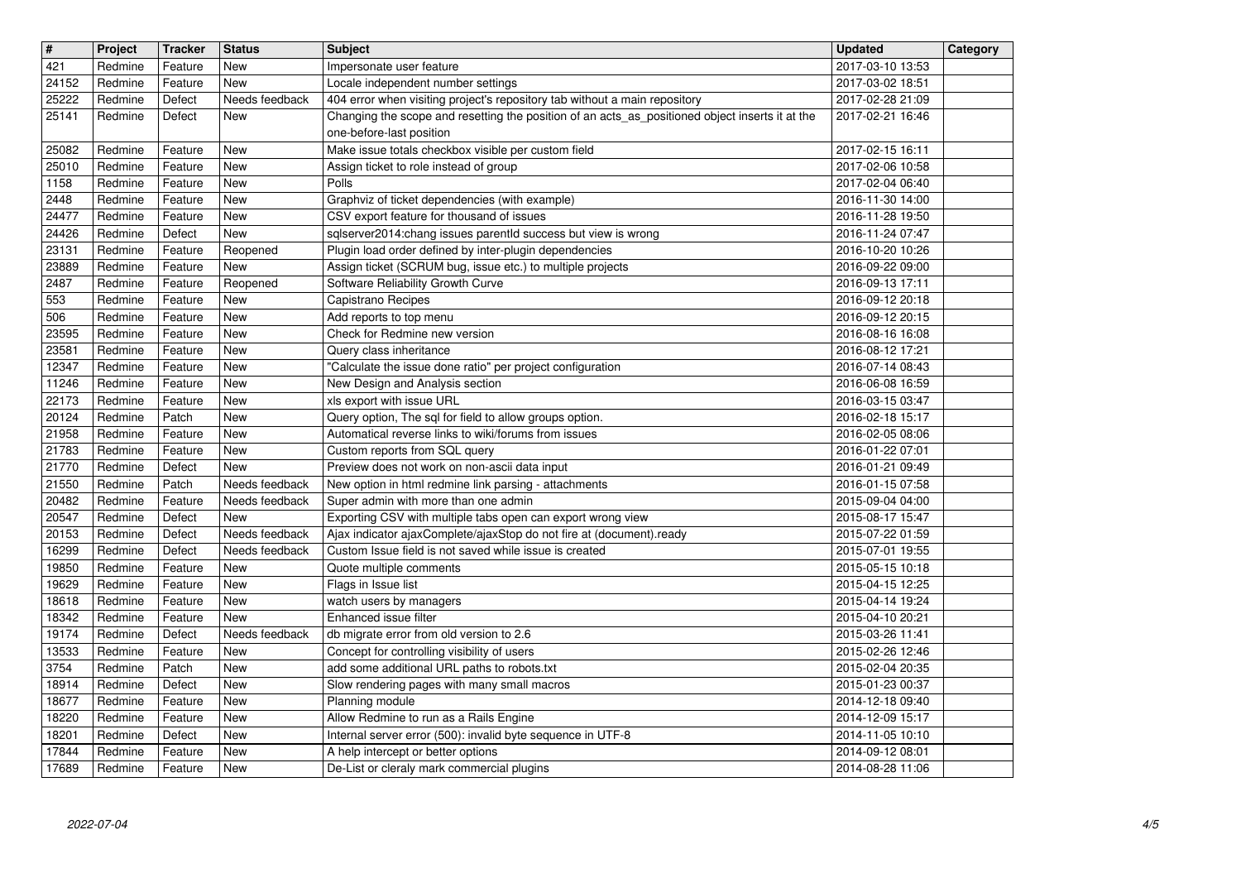| $\overline{\mathbf{H}}$ | Project            | <b>Tracker</b>     | <b>Status</b>                    | <b>Subject</b>                                                                                                       | <b>Updated</b>                       | Category |
|-------------------------|--------------------|--------------------|----------------------------------|----------------------------------------------------------------------------------------------------------------------|--------------------------------------|----------|
| 421                     | Redmine            | Feature            | New                              | Impersonate user feature                                                                                             | 2017-03-10 13:53                     |          |
| 24152<br>25222          | Redmine<br>Redmine | Feature<br>Defect  | New<br>Needs feedback            | Locale independent number settings<br>404 error when visiting project's repository tab without a main repository     | 2017-03-02 18:51<br>2017-02-28 21:09 |          |
| 25141                   | Redmine            | Defect             | New                              | Changing the scope and resetting the position of an acts_as_positioned object inserts it at the                      | 2017-02-21 16:46                     |          |
|                         |                    |                    |                                  | one-before-last position                                                                                             |                                      |          |
| 25082                   | Redmine            | Feature            | <b>New</b>                       | Make issue totals checkbox visible per custom field                                                                  | 2017-02-15 16:11                     |          |
| 25010<br>1158           | Redmine<br>Redmine | Feature<br>Feature | New<br>New                       | Assign ticket to role instead of group<br>Polls                                                                      | 2017-02-06 10:58<br>2017-02-04 06:40 |          |
| 2448                    | Redmine            | Feature            | <b>New</b>                       | Graphviz of ticket dependencies (with example)                                                                       | 2016-11-30 14:00                     |          |
| 24477                   | Redmine            | Feature            | <b>New</b>                       | CSV export feature for thousand of issues                                                                            | 2016-11-28 19:50                     |          |
| 24426                   | Redmine            | Defect             | New                              | sqlserver2014:chang issues parentId success but view is wrong                                                        | 2016-11-24 07:47                     |          |
| 23131<br>23889          | Redmine<br>Redmine | Feature<br>Feature | Reopened<br>New                  | Plugin load order defined by inter-plugin dependencies<br>Assign ticket (SCRUM bug, issue etc.) to multiple projects | 2016-10-20 10:26<br>2016-09-22 09:00 |          |
| 2487                    | Redmine            | Feature            | Reopened                         | Software Reliability Growth Curve                                                                                    | 2016-09-13 17:11                     |          |
| 553                     | Redmine            | Feature            | New                              | Capistrano Recipes                                                                                                   | 2016-09-12 20:18                     |          |
| 506                     | Redmine            | Feature            | New                              | Add reports to top menu                                                                                              | 2016-09-12 20:15                     |          |
| 23595<br>23581          | Redmine<br>Redmine | Feature<br>Feature | <b>New</b><br><b>New</b>         | Check for Redmine new version<br>Query class inheritance                                                             | 2016-08-16 16:08<br>2016-08-12 17:21 |          |
| 12347                   | Redmine            | Feature            | <b>New</b>                       | "Calculate the issue done ratio" per project configuration                                                           | 2016-07-14 08:43                     |          |
| 11246                   | Redmine            | Feature            | <b>New</b>                       | New Design and Analysis section                                                                                      | 2016-06-08 16:59                     |          |
| 22173                   | Redmine<br>Redmine | Feature            | <b>New</b>                       | xls export with issue URL                                                                                            | 2016-03-15 03:47                     |          |
| 20124<br>21958          | Redmine            | Patch<br>Feature   | New<br>New                       | Query option, The sql for field to allow groups option.<br>Automatical reverse links to wiki/forums from issues      | 2016-02-18 15:17<br>2016-02-05 08:06 |          |
| 21783                   | Redmine            | Feature            | New                              | Custom reports from SQL query                                                                                        | 2016-01-22 07:01                     |          |
| 21770                   | Redmine            | Defect             | <b>New</b>                       | Preview does not work on non-ascii data input                                                                        | 2016-01-21 09:49                     |          |
| 21550<br>20482          | Redmine<br>Redmine | Patch<br>Feature   | Needs feedback<br>Needs feedback | New option in html redmine link parsing - attachments<br>Super admin with more than one admin                        | 2016-01-15 07:58<br>2015-09-04 04:00 |          |
| 20547                   | Redmine            | Defect             | New                              | Exporting CSV with multiple tabs open can export wrong view                                                          | 2015-08-17 15:47                     |          |
| 20153                   | Redmine            | Defect             | Needs feedback                   | Ajax indicator ajaxComplete/ajaxStop do not fire at (document).ready                                                 | 2015-07-22 01:59                     |          |
| 16299                   | Redmine            | Defect             | Needs feedback                   | Custom Issue field is not saved while issue is created                                                               | 2015-07-01 19:55                     |          |
| 19850<br>19629          | Redmine<br>Redmine | Feature<br>Feature | New<br>New                       | Quote multiple comments<br>Flags in Issue list                                                                       | 2015-05-15 10:18<br>2015-04-15 12:25 |          |
| 18618                   | Redmine            | Feature            | New                              | watch users by managers                                                                                              | 2015-04-14 19:24                     |          |
| 18342                   | Redmine            | Feature            | New                              | Enhanced issue filter                                                                                                | 2015-04-10 20:21                     |          |
| 19174                   | Redmine            | Defect             | Needs feedback                   | db migrate error from old version to 2.6                                                                             | 2015-03-26 11:41                     |          |
| 13533<br>3754           | Redmine<br>Redmine | Feature<br>Patch   | <b>New</b><br>New                | Concept for controlling visibility of users<br>add some additional URL paths to robots.txt                           | 2015-02-26 12:46<br>2015-02-04 20:35 |          |
| 18914                   | Redmine            | Defect             | <b>New</b>                       | Slow rendering pages with many small macros                                                                          | 2015-01-23 00:37                     |          |
| 18677                   | Redmine            | Feature            | New                              | Planning module                                                                                                      | 2014-12-18 09:40                     |          |
| 18220                   | Redmine            | Feature            | New                              | Allow Redmine to run as a Rails Engine                                                                               | 2014-12-09 15:17                     |          |
| 18201<br>17844          | Redmine<br>Redmine | Defect<br>Feature  | New<br>New                       | Internal server error (500): invalid byte sequence in UTF-8<br>A help intercept or better options                    | 2014-11-05 10:10<br>2014-09-12 08:01 |          |
| 17689                   | Redmine            | Feature            | New                              | De-List or cleraly mark commercial plugins                                                                           | 2014-08-28 11:06                     |          |
|                         |                    |                    |                                  |                                                                                                                      |                                      |          |
|                         |                    |                    |                                  |                                                                                                                      |                                      |          |
|                         |                    |                    |                                  |                                                                                                                      |                                      |          |
|                         |                    |                    |                                  |                                                                                                                      |                                      |          |
|                         |                    |                    |                                  |                                                                                                                      |                                      |          |
|                         |                    |                    |                                  |                                                                                                                      |                                      |          |
|                         |                    |                    |                                  |                                                                                                                      |                                      |          |
|                         |                    |                    |                                  |                                                                                                                      |                                      |          |
|                         |                    |                    |                                  |                                                                                                                      |                                      |          |
|                         |                    |                    |                                  |                                                                                                                      |                                      |          |
|                         |                    |                    |                                  |                                                                                                                      |                                      |          |